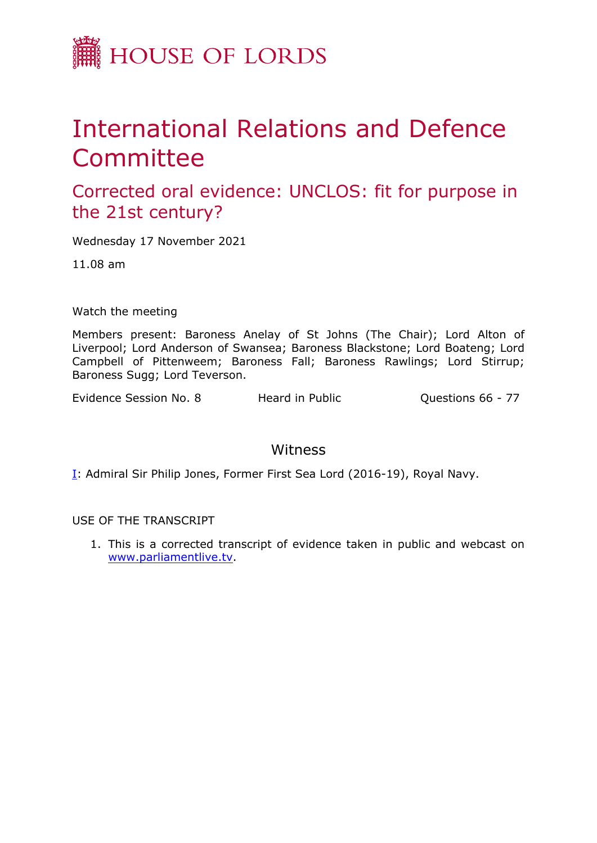

## International Relations and Defence Committee

Corrected oral evidence: UNCLOS: fit for purpose in the 21st century?

Wednesday 17 November 2021

11.08 am

Watch the meeting

Members present: Baroness Anelay of St Johns (The Chair); Lord Alton of Liverpool; Lord Anderson of Swansea; Baroness Blackstone; Lord Boateng; Lord Campbell of Pittenweem; Baroness Fall; Baroness Rawlings; Lord Stirrup; Baroness Sugg; Lord Teverson.

Evidence Session No. 8 Theard in Public Constrains 66 - 77

## Witness

I: Admiral Sir Philip Jones, Former First Sea Lord (2016-19), Royal Navy.

USE OF THE TRANSCRIPT

1. This is a corrected transcript of evidence taken in public and webcast on [www.parliamentlive.tv](http://www.parliamentlive.tv/).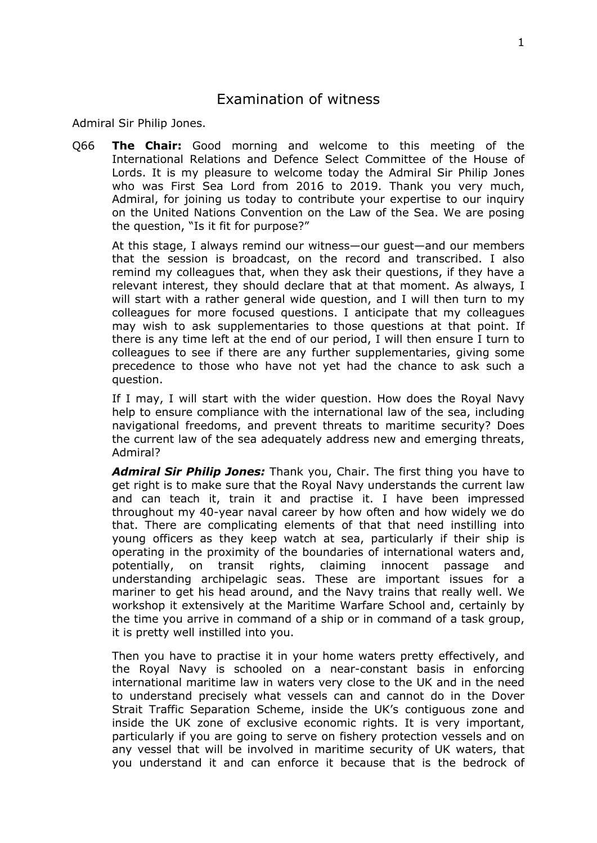## Examination of witness

Admiral Sir Philip Jones.

Q66 **The Chair:** Good morning and welcome to this meeting of the International Relations and Defence Select Committee of the House of Lords. It is my pleasure to welcome today the Admiral Sir Philip Jones who was First Sea Lord from 2016 to 2019. Thank you very much, Admiral, for joining us today to contribute your expertise to our inquiry on the United Nations Convention on the Law of the Sea. We are posing the question, "Is it fit for purpose?"

At this stage, I always remind our witness—our guest—and our members that the session is broadcast, on the record and transcribed. I also remind my colleagues that, when they ask their questions, if they have a relevant interest, they should declare that at that moment. As always, I will start with a rather general wide question, and I will then turn to my colleagues for more focused questions. I anticipate that my colleagues may wish to ask supplementaries to those questions at that point. If there is any time left at the end of our period, I will then ensure I turn to colleagues to see if there are any further supplementaries, giving some precedence to those who have not yet had the chance to ask such a question.

If I may, I will start with the wider question. How does the Royal Navy help to ensure compliance with the international law of the sea, including navigational freedoms, and prevent threats to maritime security? Does the current law of the sea adequately address new and emerging threats, Admiral?

*Admiral Sir Philip Jones:* Thank you, Chair. The first thing you have to get right is to make sure that the Royal Navy understands the current law and can teach it, train it and practise it. I have been impressed throughout my 40-year naval career by how often and how widely we do that. There are complicating elements of that that need instilling into young officers as they keep watch at sea, particularly if their ship is operating in the proximity of the boundaries of international waters and, potentially, on transit rights, claiming innocent passage and understanding archipelagic seas. These are important issues for a mariner to get his head around, and the Navy trains that really well. We workshop it extensively at the Maritime Warfare School and, certainly by the time you arrive in command of a ship or in command of a task group, it is pretty well instilled into you.

Then you have to practise it in your home waters pretty effectively, and the Royal Navy is schooled on a near-constant basis in enforcing international maritime law in waters very close to the UK and in the need to understand precisely what vessels can and cannot do in the Dover Strait Traffic Separation Scheme, inside the UK's contiguous zone and inside the UK zone of exclusive economic rights. It is very important, particularly if you are going to serve on fishery protection vessels and on any vessel that will be involved in maritime security of UK waters, that you understand it and can enforce it because that is the bedrock of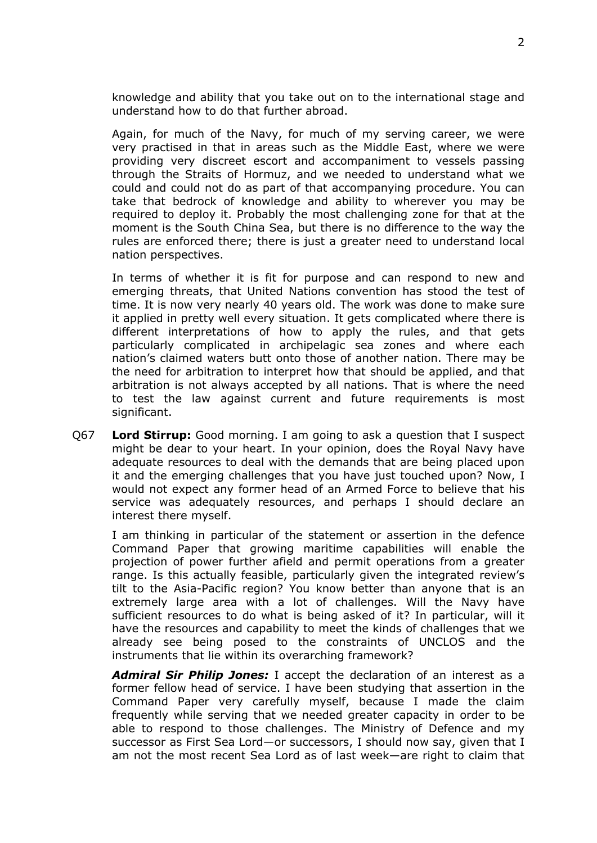knowledge and ability that you take out on to the international stage and understand how to do that further abroad.

Again, for much of the Navy, for much of my serving career, we were very practised in that in areas such as the Middle East, where we were providing very discreet escort and accompaniment to vessels passing through the Straits of Hormuz, and we needed to understand what we could and could not do as part of that accompanying procedure. You can take that bedrock of knowledge and ability to wherever you may be required to deploy it. Probably the most challenging zone for that at the moment is the South China Sea, but there is no difference to the way the rules are enforced there; there is just a greater need to understand local nation perspectives.

In terms of whether it is fit for purpose and can respond to new and emerging threats, that United Nations convention has stood the test of time. It is now very nearly 40 years old. The work was done to make sure it applied in pretty well every situation. It gets complicated where there is different interpretations of how to apply the rules, and that gets particularly complicated in archipelagic sea zones and where each nation's claimed waters butt onto those of another nation. There may be the need for arbitration to interpret how that should be applied, and that arbitration is not always accepted by all nations. That is where the need to test the law against current and future requirements is most significant.

Q67 **Lord Stirrup:** Good morning. I am going to ask a question that I suspect might be dear to your heart. In your opinion, does the Royal Navy have adequate resources to deal with the demands that are being placed upon it and the emerging challenges that you have just touched upon? Now, I would not expect any former head of an Armed Force to believe that his service was adequately resources, and perhaps I should declare an interest there myself.

I am thinking in particular of the statement or assertion in the defence Command Paper that growing maritime capabilities will enable the projection of power further afield and permit operations from a greater range. Is this actually feasible, particularly given the integrated review's tilt to the Asia-Pacific region? You know better than anyone that is an extremely large area with a lot of challenges. Will the Navy have sufficient resources to do what is being asked of it? In particular, will it have the resources and capability to meet the kinds of challenges that we already see being posed to the constraints of UNCLOS and the instruments that lie within its overarching framework?

*Admiral Sir Philip Jones:* I accept the declaration of an interest as a former fellow head of service. I have been studying that assertion in the Command Paper very carefully myself, because I made the claim frequently while serving that we needed greater capacity in order to be able to respond to those challenges. The Ministry of Defence and my successor as First Sea Lord—or successors, I should now say, given that I am not the most recent Sea Lord as of last week—are right to claim that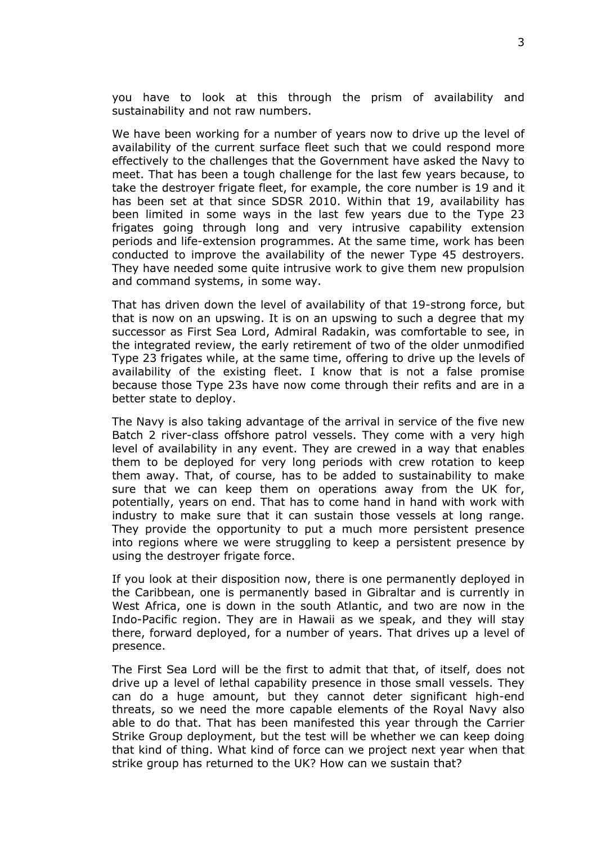you have to look at this through the prism of availability and sustainability and not raw numbers.

We have been working for a number of years now to drive up the level of availability of the current surface fleet such that we could respond more effectively to the challenges that the Government have asked the Navy to meet. That has been a tough challenge for the last few years because, to take the destroyer frigate fleet, for example, the core number is 19 and it has been set at that since SDSR 2010. Within that 19, availability has been limited in some ways in the last few years due to the Type 23 frigates going through long and very intrusive capability extension periods and life-extension programmes. At the same time, work has been conducted to improve the availability of the newer Type 45 destroyers. They have needed some quite intrusive work to give them new propulsion and command systems, in some way.

That has driven down the level of availability of that 19-strong force, but that is now on an upswing. It is on an upswing to such a degree that my successor as First Sea Lord, Admiral Radakin, was comfortable to see, in the integrated review, the early retirement of two of the older unmodified Type 23 frigates while, at the same time, offering to drive up the levels of availability of the existing fleet. I know that is not a false promise because those Type 23s have now come through their refits and are in a better state to deploy.

The Navy is also taking advantage of the arrival in service of the five new Batch 2 river-class offshore patrol vessels. They come with a very high level of availability in any event. They are crewed in a way that enables them to be deployed for very long periods with crew rotation to keep them away. That, of course, has to be added to sustainability to make sure that we can keep them on operations away from the UK for, potentially, years on end. That has to come hand in hand with work with industry to make sure that it can sustain those vessels at long range. They provide the opportunity to put a much more persistent presence into regions where we were struggling to keep a persistent presence by using the destroyer frigate force.

If you look at their disposition now, there is one permanently deployed in the Caribbean, one is permanently based in Gibraltar and is currently in West Africa, one is down in the south Atlantic, and two are now in the Indo-Pacific region. They are in Hawaii as we speak, and they will stay there, forward deployed, for a number of years. That drives up a level of presence.

The First Sea Lord will be the first to admit that that, of itself, does not drive up a level of lethal capability presence in those small vessels. They can do a huge amount, but they cannot deter significant high-end threats, so we need the more capable elements of the Royal Navy also able to do that. That has been manifested this year through the Carrier Strike Group deployment, but the test will be whether we can keep doing that kind of thing. What kind of force can we project next year when that strike group has returned to the UK? How can we sustain that?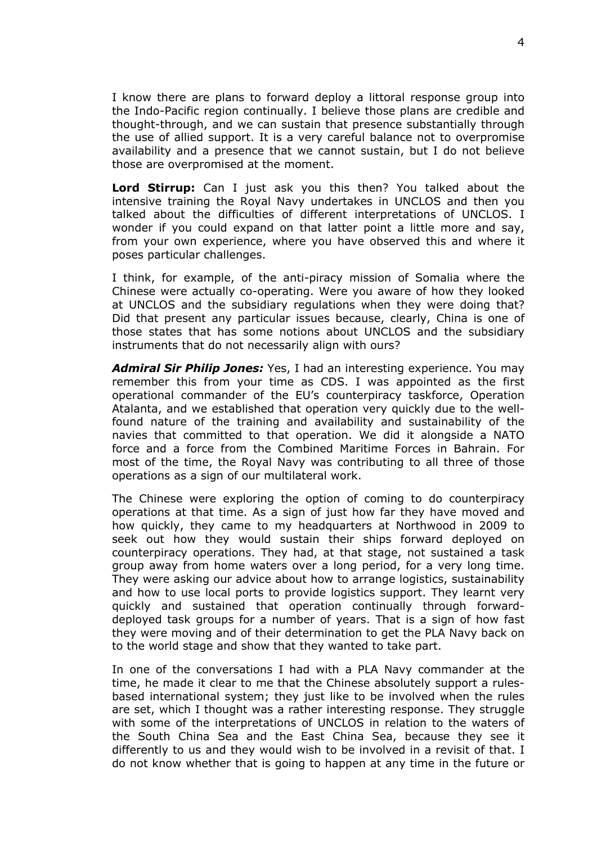I know there are plans to forward deploy a littoral response group into the Indo-Pacific region continually. I believe those plans are credible and thought-through, and we can sustain that presence substantially through the use of allied support. It is a very careful balance not to overpromise availability and a presence that we cannot sustain, but I do not believe those are overpromised at the moment.

**Lord Stirrup:** Can I just ask you this then? You talked about the intensive training the Royal Navy undertakes in UNCLOS and then you talked about the difficulties of different interpretations of UNCLOS. I wonder if you could expand on that latter point a little more and say, from your own experience, where you have observed this and where it poses particular challenges.

I think, for example, of the anti-piracy mission of Somalia where the Chinese were actually co-operating. Were you aware of how they looked at UNCLOS and the subsidiary regulations when they were doing that? Did that present any particular issues because, clearly, China is one of those states that has some notions about UNCLOS and the subsidiary instruments that do not necessarily align with ours?

*Admiral Sir Philip Jones:* Yes, I had an interesting experience. You may remember this from your time as CDS. I was appointed as the first operational commander of the EU's counterpiracy taskforce, Operation Atalanta, and we established that operation very quickly due to the wellfound nature of the training and availability and sustainability of the navies that committed to that operation. We did it alongside a NATO force and a force from the Combined Maritime Forces in Bahrain. For most of the time, the Royal Navy was contributing to all three of those operations as a sign of our multilateral work.

The Chinese were exploring the option of coming to do counterpiracy operations at that time. As a sign of just how far they have moved and how quickly, they came to my headquarters at Northwood in 2009 to seek out how they would sustain their ships forward deployed on counterpiracy operations. They had, at that stage, not sustained a task group away from home waters over a long period, for a very long time. They were asking our advice about how to arrange logistics, sustainability and how to use local ports to provide logistics support. They learnt very quickly and sustained that operation continually through forwarddeployed task groups for a number of years. That is a sign of how fast they were moving and of their determination to get the PLA Navy back on to the world stage and show that they wanted to take part.

In one of the conversations I had with a PLA Navy commander at the time, he made it clear to me that the Chinese absolutely support a rulesbased international system; they just like to be involved when the rules are set, which I thought was a rather interesting response. They struggle with some of the interpretations of UNCLOS in relation to the waters of the South China Sea and the East China Sea, because they see it differently to us and they would wish to be involved in a revisit of that. I do not know whether that is going to happen at any time in the future or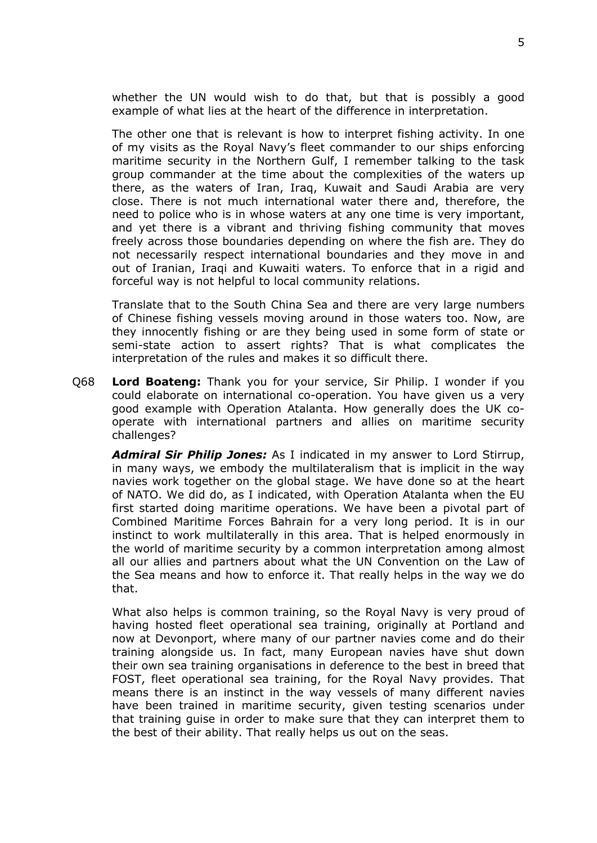whether the UN would wish to do that, but that is possibly a good example of what lies at the heart of the difference in interpretation.

The other one that is relevant is how to interpret fishing activity. In one of my visits as the Royal Navy's fleet commander to our ships enforcing maritime security in the Northern Gulf, I remember talking to the task group commander at the time about the complexities of the waters up there, as the waters of Iran, Iraq, Kuwait and Saudi Arabia are very close. There is not much international water there and, therefore, the need to police who is in whose waters at any one time is very important, and yet there is a vibrant and thriving fishing community that moves freely across those boundaries depending on where the fish are. They do not necessarily respect international boundaries and they move in and out of Iranian, Iraqi and Kuwaiti waters. To enforce that in a rigid and forceful way is not helpful to local community relations.

Translate that to the South China Sea and there are very large numbers of Chinese fishing vessels moving around in those waters too. Now, are they innocently fishing or are they being used in some form of state or semi-state action to assert rights? That is what complicates the interpretation of the rules and makes it so difficult there.

Q68 **Lord Boateng:** Thank you for your service, Sir Philip. I wonder if you could elaborate on international co-operation. You have given us a very good example with Operation Atalanta. How generally does the UK cooperate with international partners and allies on maritime security challenges?

*Admiral Sir Philip Jones:* As I indicated in my answer to Lord Stirrup, in many ways, we embody the multilateralism that is implicit in the way navies work together on the global stage. We have done so at the heart of NATO. We did do, as I indicated, with Operation Atalanta when the EU first started doing maritime operations. We have been a pivotal part of Combined Maritime Forces Bahrain for a very long period. It is in our instinct to work multilaterally in this area. That is helped enormously in the world of maritime security by a common interpretation among almost all our allies and partners about what the UN Convention on the Law of the Sea means and how to enforce it. That really helps in the way we do that.

What also helps is common training, so the Royal Navy is very proud of having hosted fleet operational sea training, originally at Portland and now at Devonport, where many of our partner navies come and do their training alongside us. In fact, many European navies have shut down their own sea training organisations in deference to the best in breed that FOST, fleet operational sea training, for the Royal Navy provides. That means there is an instinct in the way vessels of many different navies have been trained in maritime security, given testing scenarios under that training guise in order to make sure that they can interpret them to the best of their ability. That really helps us out on the seas.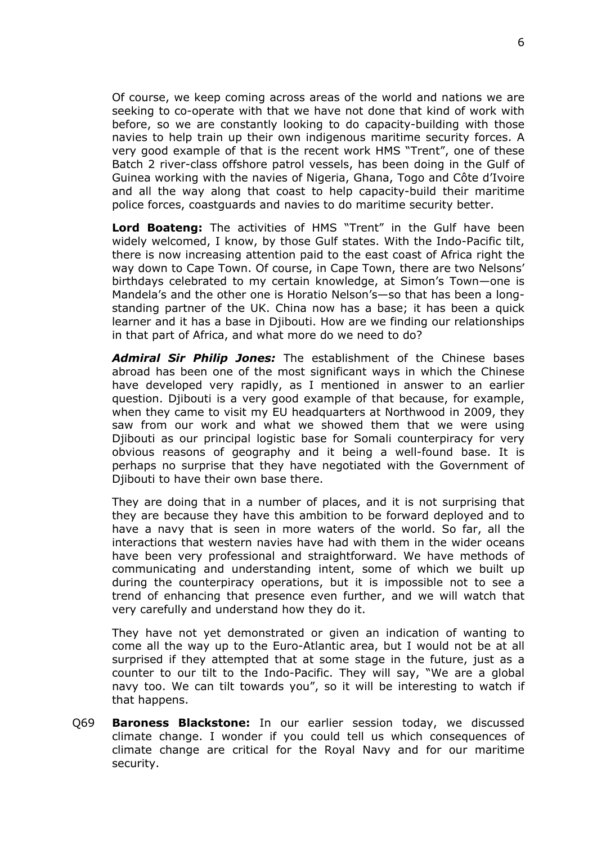Of course, we keep coming across areas of the world and nations we are seeking to co-operate with that we have not done that kind of work with before, so we are constantly looking to do capacity-building with those navies to help train up their own indigenous maritime security forces. A very good example of that is the recent work HMS "Trent", one of these Batch 2 river-class offshore patrol vessels, has been doing in the Gulf of Guinea working with the navies of Nigeria, Ghana, Togo and Côte d'Ivoire and all the way along that coast to help capacity-build their maritime police forces, coastguards and navies to do maritime security better.

**Lord Boateng:** The activities of HMS "Trent" in the Gulf have been widely welcomed, I know, by those Gulf states. With the Indo-Pacific tilt, there is now increasing attention paid to the east coast of Africa right the way down to Cape Town. Of course, in Cape Town, there are two Nelsons' birthdays celebrated to my certain knowledge, at Simon's Town—one is Mandela's and the other one is Horatio Nelson's—so that has been a longstanding partner of the UK. China now has a base; it has been a quick learner and it has a base in Djibouti. How are we finding our relationships in that part of Africa, and what more do we need to do?

*Admiral Sir Philip Jones:* The establishment of the Chinese bases abroad has been one of the most significant ways in which the Chinese have developed very rapidly, as I mentioned in answer to an earlier question. Djibouti is a very good example of that because, for example, when they came to visit my EU headquarters at Northwood in 2009, they saw from our work and what we showed them that we were using Djibouti as our principal logistic base for Somali counterpiracy for very obvious reasons of geography and it being a well-found base. It is perhaps no surprise that they have negotiated with the Government of Diibouti to have their own base there.

They are doing that in a number of places, and it is not surprising that they are because they have this ambition to be forward deployed and to have a navy that is seen in more waters of the world. So far, all the interactions that western navies have had with them in the wider oceans have been very professional and straightforward. We have methods of communicating and understanding intent, some of which we built up during the counterpiracy operations, but it is impossible not to see a trend of enhancing that presence even further, and we will watch that very carefully and understand how they do it.

They have not yet demonstrated or given an indication of wanting to come all the way up to the Euro-Atlantic area, but I would not be at all surprised if they attempted that at some stage in the future, just as a counter to our tilt to the Indo-Pacific. They will say, "We are a global navy too. We can tilt towards you", so it will be interesting to watch if that happens.

Q69 **Baroness Blackstone:** In our earlier session today, we discussed climate change. I wonder if you could tell us which consequences of climate change are critical for the Royal Navy and for our maritime security.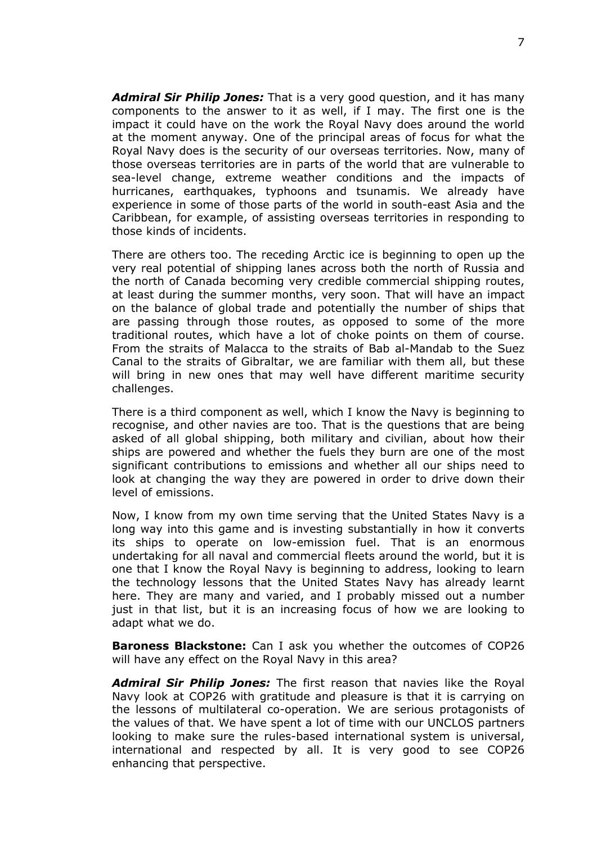*Admiral Sir Philip Jones:* That is a very good question, and it has many components to the answer to it as well, if I may. The first one is the impact it could have on the work the Royal Navy does around the world at the moment anyway. One of the principal areas of focus for what the Royal Navy does is the security of our overseas territories. Now, many of those overseas territories are in parts of the world that are vulnerable to sea-level change, extreme weather conditions and the impacts of hurricanes, earthquakes, typhoons and tsunamis. We already have experience in some of those parts of the world in south-east Asia and the Caribbean, for example, of assisting overseas territories in responding to those kinds of incidents.

There are others too. The receding Arctic ice is beginning to open up the very real potential of shipping lanes across both the north of Russia and the north of Canada becoming very credible commercial shipping routes, at least during the summer months, very soon. That will have an impact on the balance of global trade and potentially the number of ships that are passing through those routes, as opposed to some of the more traditional routes, which have a lot of choke points on them of course. From the straits of Malacca to the straits of Bab al-Mandab to the Suez Canal to the straits of Gibraltar, we are familiar with them all, but these will bring in new ones that may well have different maritime security challenges.

There is a third component as well, which I know the Navy is beginning to recognise, and other navies are too. That is the questions that are being asked of all global shipping, both military and civilian, about how their ships are powered and whether the fuels they burn are one of the most significant contributions to emissions and whether all our ships need to look at changing the way they are powered in order to drive down their level of emissions.

Now, I know from my own time serving that the United States Navy is a long way into this game and is investing substantially in how it converts its ships to operate on low-emission fuel. That is an enormous undertaking for all naval and commercial fleets around the world, but it is one that I know the Royal Navy is beginning to address, looking to learn the technology lessons that the United States Navy has already learnt here. They are many and varied, and I probably missed out a number just in that list, but it is an increasing focus of how we are looking to adapt what we do.

**Baroness Blackstone:** Can I ask you whether the outcomes of COP26 will have any effect on the Royal Navy in this area?

*Admiral Sir Philip Jones:* The first reason that navies like the Royal Navy look at COP26 with gratitude and pleasure is that it is carrying on the lessons of multilateral co-operation. We are serious protagonists of the values of that. We have spent a lot of time with our UNCLOS partners looking to make sure the rules-based international system is universal, international and respected by all. It is very good to see COP26 enhancing that perspective.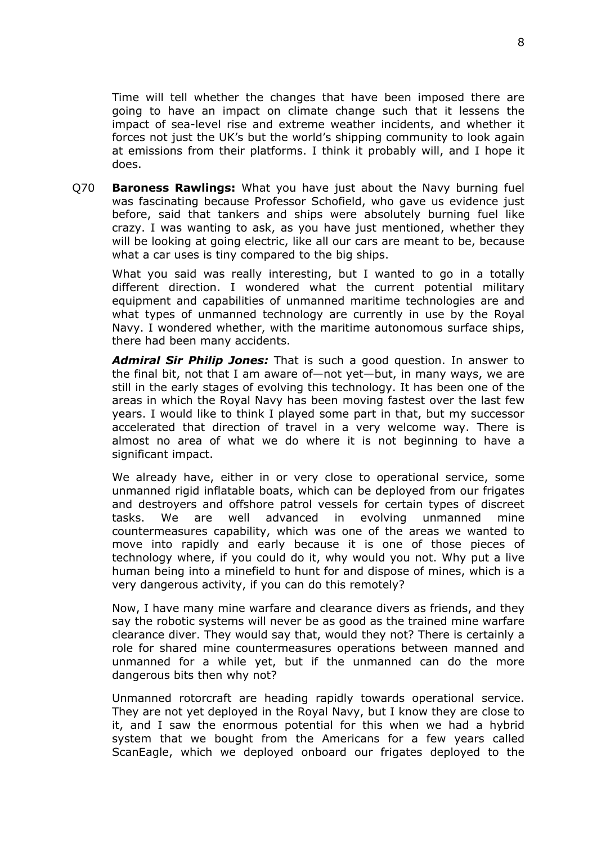Time will tell whether the changes that have been imposed there are going to have an impact on climate change such that it lessens the impact of sea-level rise and extreme weather incidents, and whether it forces not just the UK's but the world's shipping community to look again at emissions from their platforms. I think it probably will, and I hope it does.

Q70 **Baroness Rawlings:** What you have just about the Navy burning fuel was fascinating because Professor Schofield, who gave us evidence just before, said that tankers and ships were absolutely burning fuel like crazy. I was wanting to ask, as you have just mentioned, whether they will be looking at going electric, like all our cars are meant to be, because what a car uses is tiny compared to the big ships.

What you said was really interesting, but I wanted to go in a totally different direction. I wondered what the current potential military equipment and capabilities of unmanned maritime technologies are and what types of unmanned technology are currently in use by the Royal Navy. I wondered whether, with the maritime autonomous surface ships, there had been many accidents.

*Admiral Sir Philip Jones:* That is such a good question. In answer to the final bit, not that I am aware of—not yet—but, in many ways, we are still in the early stages of evolving this technology. It has been one of the areas in which the Royal Navy has been moving fastest over the last few years. I would like to think I played some part in that, but my successor accelerated that direction of travel in a very welcome way. There is almost no area of what we do where it is not beginning to have a significant impact.

We already have, either in or very close to operational service, some unmanned rigid inflatable boats, which can be deployed from our frigates and destroyers and offshore patrol vessels for certain types of discreet tasks. We are well advanced in evolving unmanned mine countermeasures capability, which was one of the areas we wanted to move into rapidly and early because it is one of those pieces of technology where, if you could do it, why would you not. Why put a live human being into a minefield to hunt for and dispose of mines, which is a very dangerous activity, if you can do this remotely?

Now, I have many mine warfare and clearance divers as friends, and they say the robotic systems will never be as good as the trained mine warfare clearance diver. They would say that, would they not? There is certainly a role for shared mine countermeasures operations between manned and unmanned for a while yet, but if the unmanned can do the more dangerous bits then why not?

Unmanned rotorcraft are heading rapidly towards operational service. They are not yet deployed in the Royal Navy, but I know they are close to it, and I saw the enormous potential for this when we had a hybrid system that we bought from the Americans for a few years called ScanEagle, which we deployed onboard our frigates deployed to the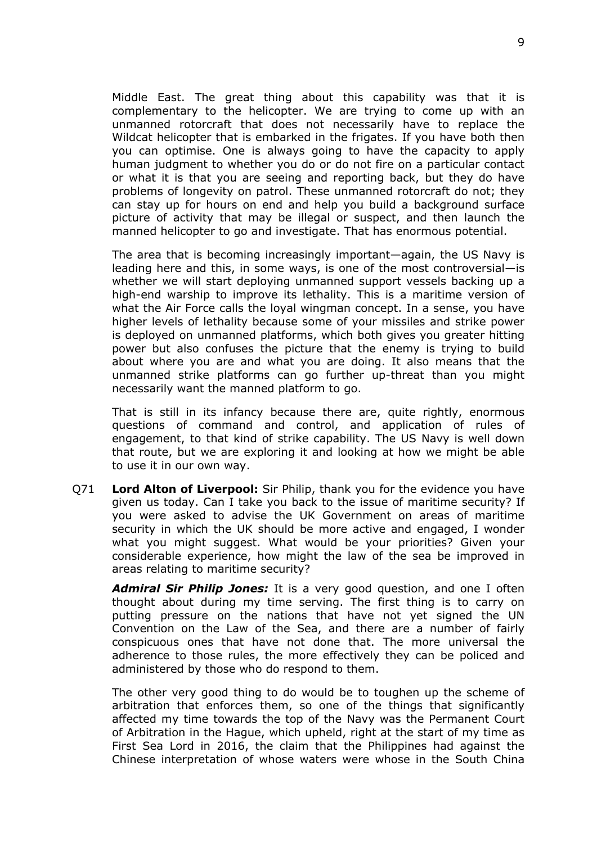Middle East. The great thing about this capability was that it is complementary to the helicopter. We are trying to come up with an unmanned rotorcraft that does not necessarily have to replace the Wildcat helicopter that is embarked in the frigates. If you have both then you can optimise. One is always going to have the capacity to apply human judgment to whether you do or do not fire on a particular contact or what it is that you are seeing and reporting back, but they do have problems of longevity on patrol. These unmanned rotorcraft do not; they can stay up for hours on end and help you build a background surface picture of activity that may be illegal or suspect, and then launch the manned helicopter to go and investigate. That has enormous potential.

The area that is becoming increasingly important—again, the US Navy is leading here and this, in some ways, is one of the most controversial—is whether we will start deploying unmanned support vessels backing up a high-end warship to improve its lethality. This is a maritime version of what the Air Force calls the loyal wingman concept. In a sense, you have higher levels of lethality because some of your missiles and strike power is deployed on unmanned platforms, which both gives you greater hitting power but also confuses the picture that the enemy is trying to build about where you are and what you are doing. It also means that the unmanned strike platforms can go further up-threat than you might necessarily want the manned platform to go.

That is still in its infancy because there are, quite rightly, enormous questions of command and control, and application of rules of engagement, to that kind of strike capability. The US Navy is well down that route, but we are exploring it and looking at how we might be able to use it in our own way.

Q71 **Lord Alton of Liverpool:** Sir Philip, thank you for the evidence you have given us today. Can I take you back to the issue of maritime security? If you were asked to advise the UK Government on areas of maritime security in which the UK should be more active and engaged, I wonder what you might suggest. What would be your priorities? Given your considerable experience, how might the law of the sea be improved in areas relating to maritime security?

*Admiral Sir Philip Jones:* It is a very good question, and one I often thought about during my time serving. The first thing is to carry on putting pressure on the nations that have not yet signed the UN Convention on the Law of the Sea, and there are a number of fairly conspicuous ones that have not done that. The more universal the adherence to those rules, the more effectively they can be policed and administered by those who do respond to them.

The other very good thing to do would be to toughen up the scheme of arbitration that enforces them, so one of the things that significantly affected my time towards the top of the Navy was the Permanent Court of Arbitration in the Hague, which upheld, right at the start of my time as First Sea Lord in 2016, the claim that the Philippines had against the Chinese interpretation of whose waters were whose in the South China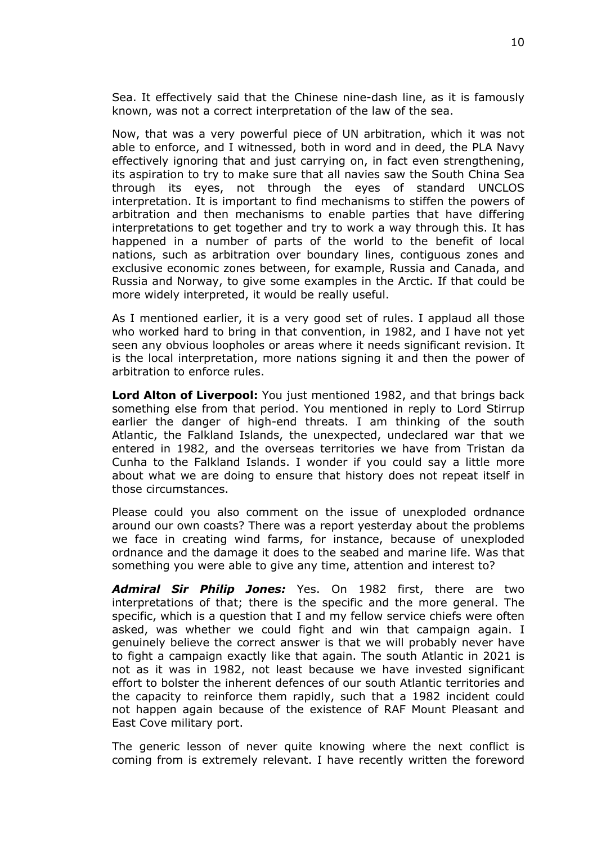Sea. It effectively said that the Chinese nine-dash line, as it is famously known, was not a correct interpretation of the law of the sea.

Now, that was a very powerful piece of UN arbitration, which it was not able to enforce, and I witnessed, both in word and in deed, the PLA Navy effectively ignoring that and just carrying on, in fact even strengthening, its aspiration to try to make sure that all navies saw the South China Sea through its eyes, not through the eyes of standard UNCLOS interpretation. It is important to find mechanisms to stiffen the powers of arbitration and then mechanisms to enable parties that have differing interpretations to get together and try to work a way through this. It has happened in a number of parts of the world to the benefit of local nations, such as arbitration over boundary lines, contiguous zones and exclusive economic zones between, for example, Russia and Canada, and Russia and Norway, to give some examples in the Arctic. If that could be more widely interpreted, it would be really useful.

As I mentioned earlier, it is a very good set of rules. I applaud all those who worked hard to bring in that convention, in 1982, and I have not yet seen any obvious loopholes or areas where it needs significant revision. It is the local interpretation, more nations signing it and then the power of arbitration to enforce rules.

**Lord Alton of Liverpool:** You just mentioned 1982, and that brings back something else from that period. You mentioned in reply to Lord Stirrup earlier the danger of high-end threats. I am thinking of the south Atlantic, the Falkland Islands, the unexpected, undeclared war that we entered in 1982, and the overseas territories we have from Tristan da Cunha to the Falkland Islands. I wonder if you could say a little more about what we are doing to ensure that history does not repeat itself in those circumstances.

Please could you also comment on the issue of unexploded ordnance around our own coasts? There was a report yesterday about the problems we face in creating wind farms, for instance, because of unexploded ordnance and the damage it does to the seabed and marine life. Was that something you were able to give any time, attention and interest to?

*Admiral Sir Philip Jones:* Yes. On 1982 first, there are two interpretations of that; there is the specific and the more general. The specific, which is a question that I and my fellow service chiefs were often asked, was whether we could fight and win that campaign again. I genuinely believe the correct answer is that we will probably never have to fight a campaign exactly like that again. The south Atlantic in 2021 is not as it was in 1982, not least because we have invested significant effort to bolster the inherent defences of our south Atlantic territories and the capacity to reinforce them rapidly, such that a 1982 incident could not happen again because of the existence of RAF Mount Pleasant and East Cove military port.

The generic lesson of never quite knowing where the next conflict is coming from is extremely relevant. I have recently written the foreword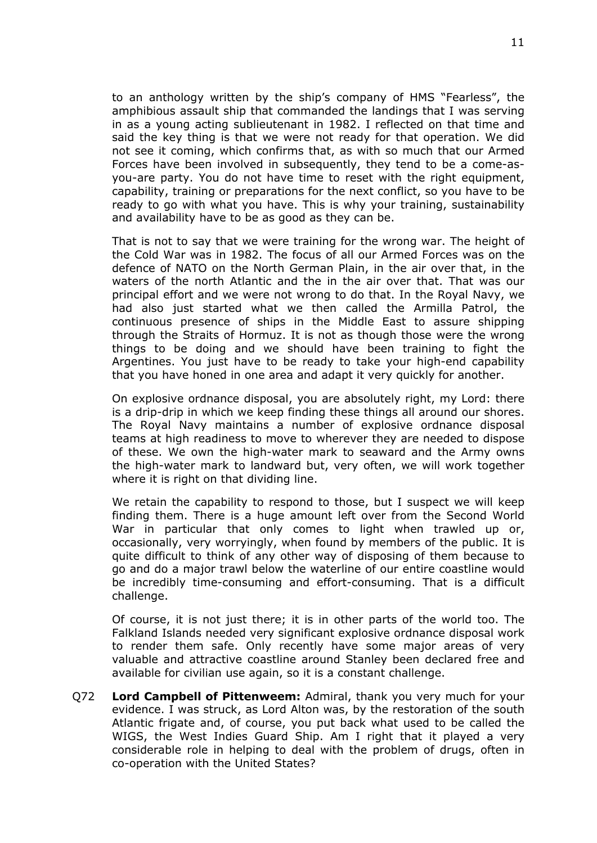to an anthology written by the ship's company of HMS "Fearless", the amphibious assault ship that commanded the landings that I was serving in as a young acting sublieutenant in 1982. I reflected on that time and said the key thing is that we were not ready for that operation. We did not see it coming, which confirms that, as with so much that our Armed Forces have been involved in subsequently, they tend to be a come-asyou-are party. You do not have time to reset with the right equipment, capability, training or preparations for the next conflict, so you have to be ready to go with what you have. This is why your training, sustainability and availability have to be as good as they can be.

That is not to say that we were training for the wrong war. The height of the Cold War was in 1982. The focus of all our Armed Forces was on the defence of NATO on the North German Plain, in the air over that, in the waters of the north Atlantic and the in the air over that. That was our principal effort and we were not wrong to do that. In the Royal Navy, we had also just started what we then called the Armilla Patrol, the continuous presence of ships in the Middle East to assure shipping through the Straits of Hormuz. It is not as though those were the wrong things to be doing and we should have been training to fight the Argentines. You just have to be ready to take your high-end capability that you have honed in one area and adapt it very quickly for another.

On explosive ordnance disposal, you are absolutely right, my Lord: there is a drip-drip in which we keep finding these things all around our shores. The Royal Navy maintains a number of explosive ordnance disposal teams at high readiness to move to wherever they are needed to dispose of these. We own the high-water mark to seaward and the Army owns the high-water mark to landward but, very often, we will work together where it is right on that dividing line.

We retain the capability to respond to those, but I suspect we will keep finding them. There is a huge amount left over from the Second World War in particular that only comes to light when trawled up or, occasionally, very worryingly, when found by members of the public. It is quite difficult to think of any other way of disposing of them because to go and do a major trawl below the waterline of our entire coastline would be incredibly time-consuming and effort-consuming. That is a difficult challenge.

Of course, it is not just there; it is in other parts of the world too. The Falkland Islands needed very significant explosive ordnance disposal work to render them safe. Only recently have some major areas of very valuable and attractive coastline around Stanley been declared free and available for civilian use again, so it is a constant challenge.

Q72 **Lord Campbell of Pittenweem:** Admiral, thank you very much for your evidence. I was struck, as Lord Alton was, by the restoration of the south Atlantic frigate and, of course, you put back what used to be called the WIGS, the West Indies Guard Ship. Am I right that it played a very considerable role in helping to deal with the problem of drugs, often in co-operation with the United States?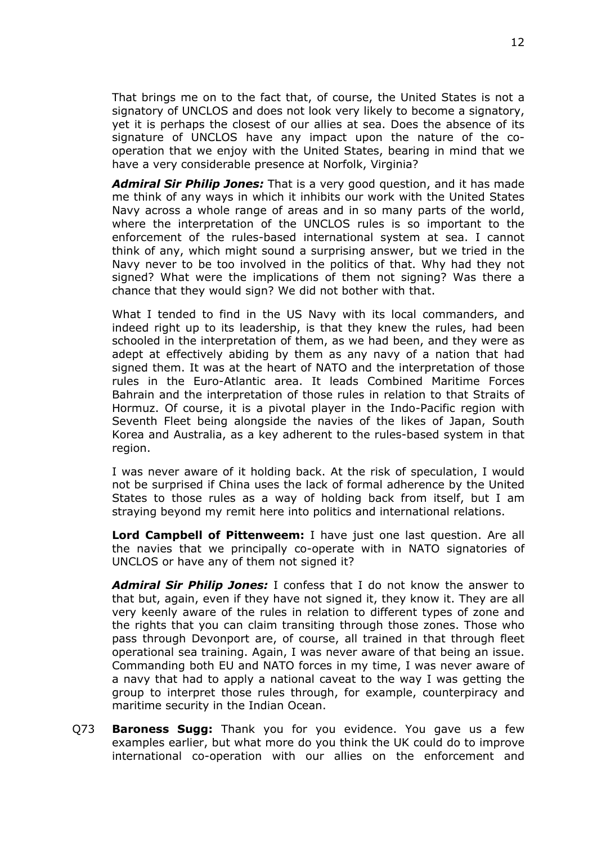That brings me on to the fact that, of course, the United States is not a signatory of UNCLOS and does not look very likely to become a signatory, yet it is perhaps the closest of our allies at sea. Does the absence of its signature of UNCLOS have any impact upon the nature of the cooperation that we enjoy with the United States, bearing in mind that we have a very considerable presence at Norfolk, Virginia?

*Admiral Sir Philip Jones:* That is a very good question, and it has made me think of any ways in which it inhibits our work with the United States Navy across a whole range of areas and in so many parts of the world, where the interpretation of the UNCLOS rules is so important to the enforcement of the rules-based international system at sea. I cannot think of any, which might sound a surprising answer, but we tried in the Navy never to be too involved in the politics of that. Why had they not signed? What were the implications of them not signing? Was there a chance that they would sign? We did not bother with that.

What I tended to find in the US Navy with its local commanders, and indeed right up to its leadership, is that they knew the rules, had been schooled in the interpretation of them, as we had been, and they were as adept at effectively abiding by them as any navy of a nation that had signed them. It was at the heart of NATO and the interpretation of those rules in the Euro-Atlantic area. It leads Combined Maritime Forces Bahrain and the interpretation of those rules in relation to that Straits of Hormuz. Of course, it is a pivotal player in the Indo-Pacific region with Seventh Fleet being alongside the navies of the likes of Japan, South Korea and Australia, as a key adherent to the rules-based system in that region.

I was never aware of it holding back. At the risk of speculation, I would not be surprised if China uses the lack of formal adherence by the United States to those rules as a way of holding back from itself, but I am straying beyond my remit here into politics and international relations.

**Lord Campbell of Pittenweem:** I have just one last question. Are all the navies that we principally co-operate with in NATO signatories of UNCLOS or have any of them not signed it?

*Admiral Sir Philip Jones:* I confess that I do not know the answer to that but, again, even if they have not signed it, they know it. They are all very keenly aware of the rules in relation to different types of zone and the rights that you can claim transiting through those zones. Those who pass through Devonport are, of course, all trained in that through fleet operational sea training. Again, I was never aware of that being an issue. Commanding both EU and NATO forces in my time, I was never aware of a navy that had to apply a national caveat to the way I was getting the group to interpret those rules through, for example, counterpiracy and maritime security in the Indian Ocean.

Q73 **Baroness Sugg:** Thank you for you evidence. You gave us a few examples earlier, but what more do you think the UK could do to improve international co-operation with our allies on the enforcement and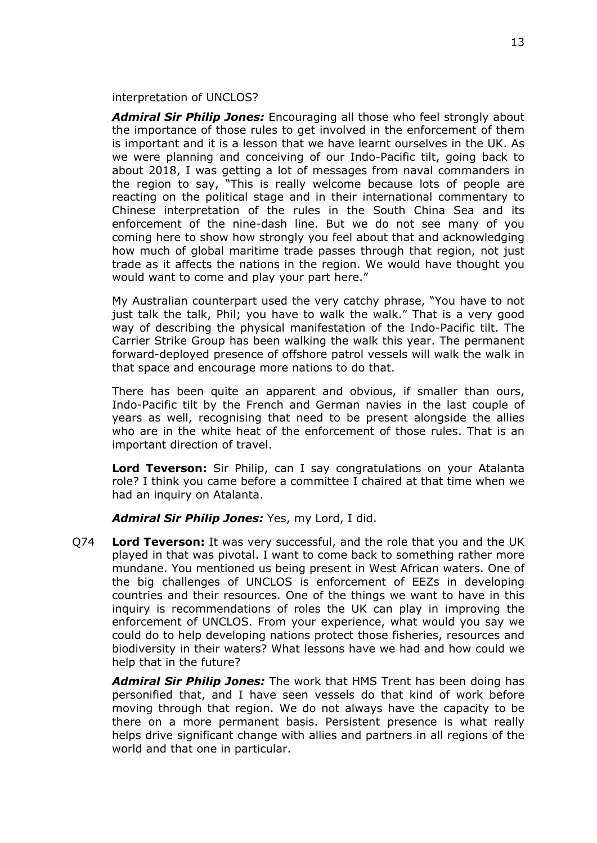interpretation of UNCLOS?

*Admiral Sir Philip Jones:* Encouraging all those who feel strongly about the importance of those rules to get involved in the enforcement of them is important and it is a lesson that we have learnt ourselves in the UK. As we were planning and conceiving of our Indo-Pacific tilt, going back to about 2018, I was getting a lot of messages from naval commanders in the region to say, "This is really welcome because lots of people are reacting on the political stage and in their international commentary to Chinese interpretation of the rules in the South China Sea and its enforcement of the nine-dash line. But we do not see many of you coming here to show how strongly you feel about that and acknowledging how much of global maritime trade passes through that region, not just trade as it affects the nations in the region. We would have thought you would want to come and play your part here."

My Australian counterpart used the very catchy phrase, "You have to not just talk the talk, Phil; you have to walk the walk." That is a very good way of describing the physical manifestation of the Indo-Pacific tilt. The Carrier Strike Group has been walking the walk this year. The permanent forward-deployed presence of offshore patrol vessels will walk the walk in that space and encourage more nations to do that.

There has been quite an apparent and obvious, if smaller than ours, Indo-Pacific tilt by the French and German navies in the last couple of years as well, recognising that need to be present alongside the allies who are in the white heat of the enforcement of those rules. That is an important direction of travel.

**Lord Teverson:** Sir Philip, can I say congratulations on your Atalanta role? I think you came before a committee I chaired at that time when we had an inquiry on Atalanta.

*Admiral Sir Philip Jones:* Yes, my Lord, I did.

Q74 **Lord Teverson:** It was very successful, and the role that you and the UK played in that was pivotal. I want to come back to something rather more mundane. You mentioned us being present in West African waters. One of the big challenges of UNCLOS is enforcement of EEZs in developing countries and their resources. One of the things we want to have in this inquiry is recommendations of roles the UK can play in improving the enforcement of UNCLOS. From your experience, what would you say we could do to help developing nations protect those fisheries, resources and biodiversity in their waters? What lessons have we had and how could we help that in the future?

*Admiral Sir Philip Jones:* The work that HMS Trent has been doing has personified that, and I have seen vessels do that kind of work before moving through that region. We do not always have the capacity to be there on a more permanent basis. Persistent presence is what really helps drive significant change with allies and partners in all regions of the world and that one in particular.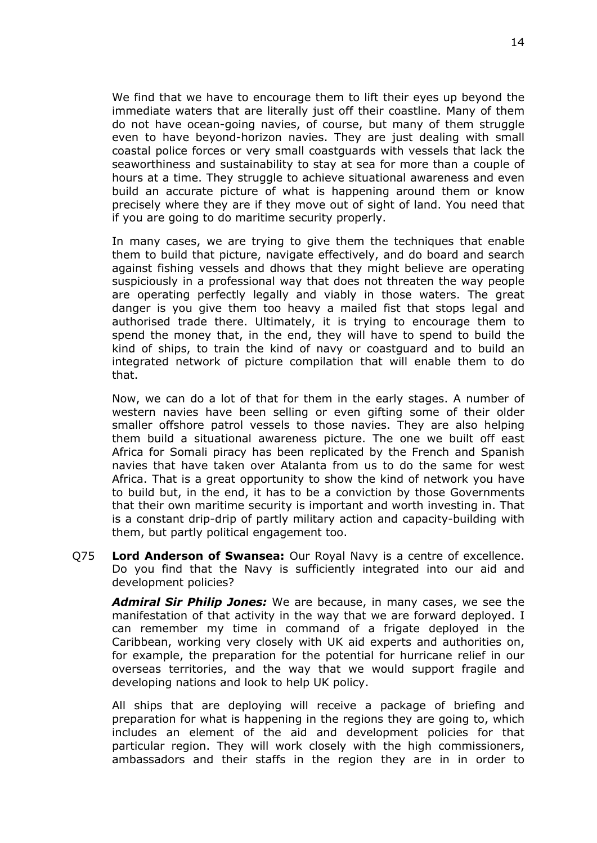We find that we have to encourage them to lift their eyes up beyond the immediate waters that are literally just off their coastline. Many of them do not have ocean-going navies, of course, but many of them struggle even to have beyond-horizon navies. They are just dealing with small coastal police forces or very small coastguards with vessels that lack the seaworthiness and sustainability to stay at sea for more than a couple of hours at a time. They struggle to achieve situational awareness and even build an accurate picture of what is happening around them or know precisely where they are if they move out of sight of land. You need that if you are going to do maritime security properly.

In many cases, we are trying to give them the techniques that enable them to build that picture, navigate effectively, and do board and search against fishing vessels and dhows that they might believe are operating suspiciously in a professional way that does not threaten the way people are operating perfectly legally and viably in those waters. The great danger is you give them too heavy a mailed fist that stops legal and authorised trade there. Ultimately, it is trying to encourage them to spend the money that, in the end, they will have to spend to build the kind of ships, to train the kind of navy or coastguard and to build an integrated network of picture compilation that will enable them to do that.

Now, we can do a lot of that for them in the early stages. A number of western navies have been selling or even gifting some of their older smaller offshore patrol vessels to those navies. They are also helping them build a situational awareness picture. The one we built off east Africa for Somali piracy has been replicated by the French and Spanish navies that have taken over Atalanta from us to do the same for west Africa. That is a great opportunity to show the kind of network you have to build but, in the end, it has to be a conviction by those Governments that their own maritime security is important and worth investing in. That is a constant drip-drip of partly military action and capacity-building with them, but partly political engagement too.

Q75 **Lord Anderson of Swansea:** Our Royal Navy is a centre of excellence. Do you find that the Navy is sufficiently integrated into our aid and development policies?

*Admiral Sir Philip Jones:* We are because, in many cases, we see the manifestation of that activity in the way that we are forward deployed. I can remember my time in command of a frigate deployed in the Caribbean, working very closely with UK aid experts and authorities on, for example, the preparation for the potential for hurricane relief in our overseas territories, and the way that we would support fragile and developing nations and look to help UK policy.

All ships that are deploying will receive a package of briefing and preparation for what is happening in the regions they are going to, which includes an element of the aid and development policies for that particular region. They will work closely with the high commissioners, ambassadors and their staffs in the region they are in in order to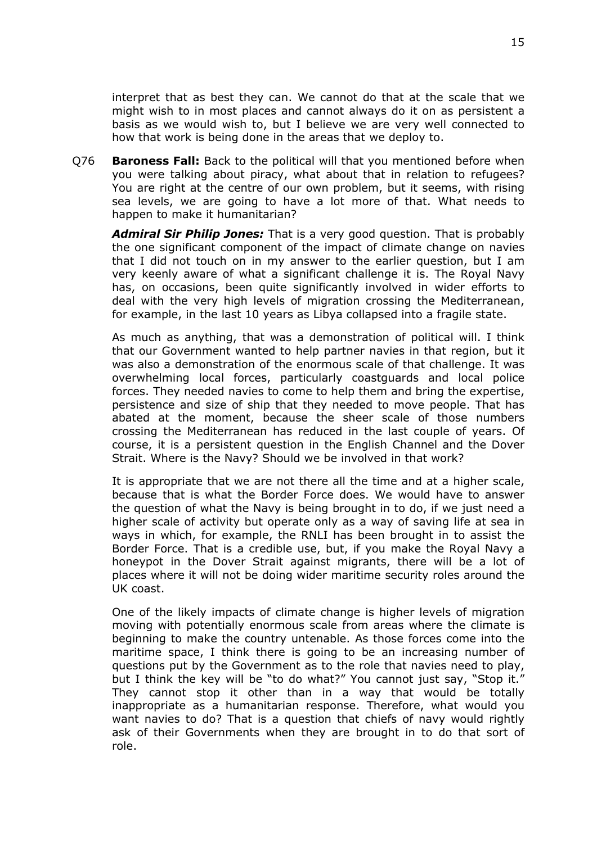interpret that as best they can. We cannot do that at the scale that we might wish to in most places and cannot always do it on as persistent a basis as we would wish to, but I believe we are very well connected to how that work is being done in the areas that we deploy to.

Q76 **Baroness Fall:** Back to the political will that you mentioned before when you were talking about piracy, what about that in relation to refugees? You are right at the centre of our own problem, but it seems, with rising sea levels, we are going to have a lot more of that. What needs to happen to make it humanitarian?

*Admiral Sir Philip Jones:* That is a very good question. That is probably the one significant component of the impact of climate change on navies that I did not touch on in my answer to the earlier question, but I am very keenly aware of what a significant challenge it is. The Royal Navy has, on occasions, been quite significantly involved in wider efforts to deal with the very high levels of migration crossing the Mediterranean, for example, in the last 10 years as Libya collapsed into a fragile state.

As much as anything, that was a demonstration of political will. I think that our Government wanted to help partner navies in that region, but it was also a demonstration of the enormous scale of that challenge. It was overwhelming local forces, particularly coastguards and local police forces. They needed navies to come to help them and bring the expertise, persistence and size of ship that they needed to move people. That has abated at the moment, because the sheer scale of those numbers crossing the Mediterranean has reduced in the last couple of years. Of course, it is a persistent question in the English Channel and the Dover Strait. Where is the Navy? Should we be involved in that work?

It is appropriate that we are not there all the time and at a higher scale, because that is what the Border Force does. We would have to answer the question of what the Navy is being brought in to do, if we just need a higher scale of activity but operate only as a way of saving life at sea in ways in which, for example, the RNLI has been brought in to assist the Border Force. That is a credible use, but, if you make the Royal Navy a honeypot in the Dover Strait against migrants, there will be a lot of places where it will not be doing wider maritime security roles around the UK coast.

One of the likely impacts of climate change is higher levels of migration moving with potentially enormous scale from areas where the climate is beginning to make the country untenable. As those forces come into the maritime space, I think there is going to be an increasing number of questions put by the Government as to the role that navies need to play, but I think the key will be "to do what?" You cannot just say, "Stop it." They cannot stop it other than in a way that would be totally inappropriate as a humanitarian response. Therefore, what would you want navies to do? That is a question that chiefs of navy would rightly ask of their Governments when they are brought in to do that sort of role.